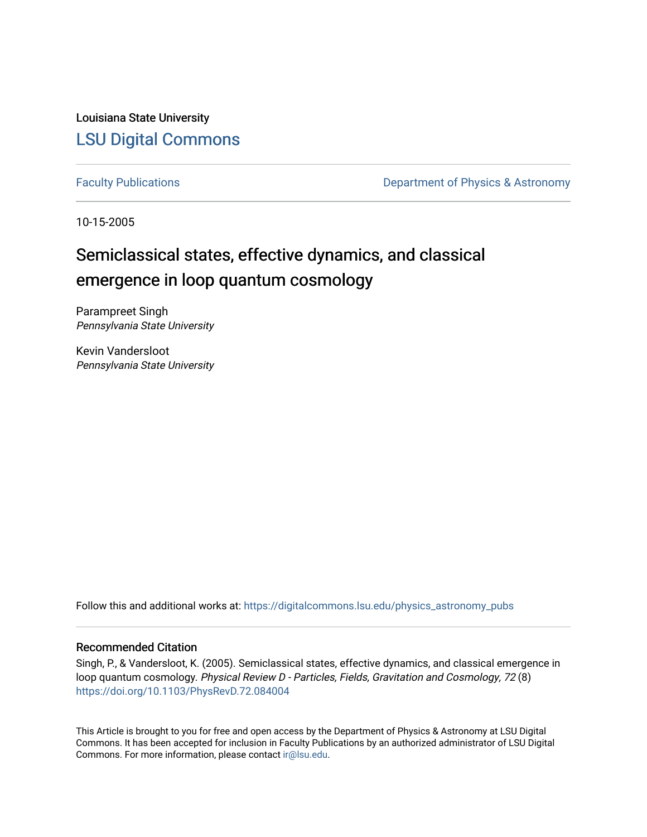Louisiana State University [LSU Digital Commons](https://digitalcommons.lsu.edu/)

[Faculty Publications](https://digitalcommons.lsu.edu/physics_astronomy_pubs) **Exercise 2 and Table 2 and Table 2 and Table 2 and Table 2 and Table 2 and Table 2 and Table 2 and Table 2 and Table 2 and Table 2 and Table 2 and Table 2 and Table 2 and Table 2 and Table 2 and Table** 

10-15-2005

# Semiclassical states, effective dynamics, and classical emergence in loop quantum cosmology

Parampreet Singh Pennsylvania State University

Kevin Vandersloot Pennsylvania State University

Follow this and additional works at: [https://digitalcommons.lsu.edu/physics\\_astronomy\\_pubs](https://digitalcommons.lsu.edu/physics_astronomy_pubs?utm_source=digitalcommons.lsu.edu%2Fphysics_astronomy_pubs%2F5096&utm_medium=PDF&utm_campaign=PDFCoverPages) 

# Recommended Citation

Singh, P., & Vandersloot, K. (2005). Semiclassical states, effective dynamics, and classical emergence in loop quantum cosmology. Physical Review D - Particles, Fields, Gravitation and Cosmology, 72(8) <https://doi.org/10.1103/PhysRevD.72.084004>

This Article is brought to you for free and open access by the Department of Physics & Astronomy at LSU Digital Commons. It has been accepted for inclusion in Faculty Publications by an authorized administrator of LSU Digital Commons. For more information, please contact [ir@lsu.edu](mailto:ir@lsu.edu).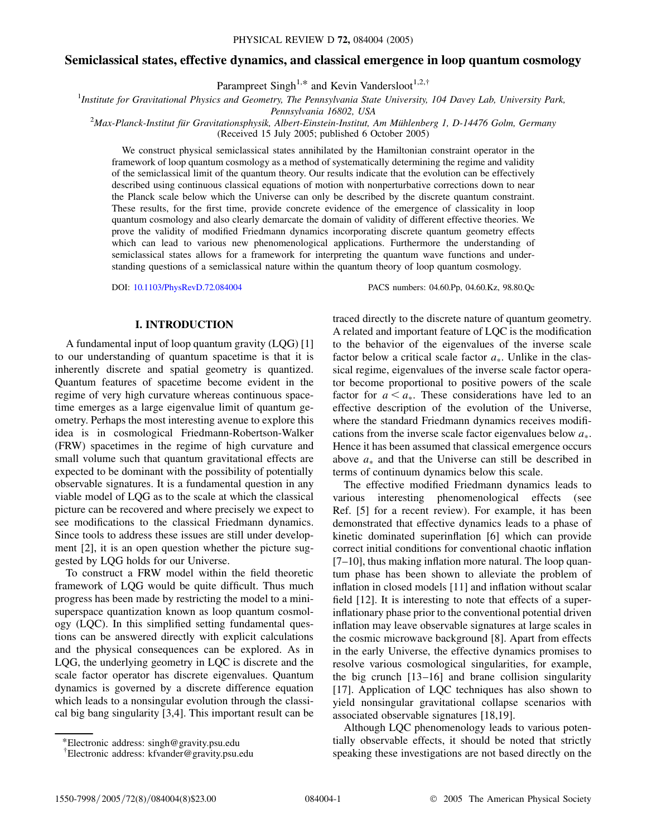# **Semiclassical states, effective dynamics, and classical emergence in loop quantum cosmology**

Parampreet Singh<sup>1,\*</sup> and Kevin Vandersloot<sup>1,2,†</sup>

1 *Institute for Gravitational Physics and Geometry, The Pennsylvania State University, 104 Davey Lab, University Park,*

*Pennsylvania 16802, USA* <sup>2</sup> *Max-Planck-Institut fu¨r Gravitationsphysik, Albert-Einstein-Institut, Am Mu¨hlenberg 1, D-14476 Golm, Germany* (Received 15 July 2005; published 6 October 2005)

We construct physical semiclassical states annihilated by the Hamiltonian constraint operator in the framework of loop quantum cosmology as a method of systematically determining the regime and validity of the semiclassical limit of the quantum theory. Our results indicate that the evolution can be effectively described using continuous classical equations of motion with nonperturbative corrections down to near the Planck scale below which the Universe can only be described by the discrete quantum constraint. These results, for the first time, provide concrete evidence of the emergence of classicality in loop quantum cosmology and also clearly demarcate the domain of validity of different effective theories. We prove the validity of modified Friedmann dynamics incorporating discrete quantum geometry effects which can lead to various new phenomenological applications. Furthermore the understanding of semiclassical states allows for a framework for interpreting the quantum wave functions and understanding questions of a semiclassical nature within the quantum theory of loop quantum cosmology.

DOI: [10.1103/PhysRevD.72.084004](http://dx.doi.org/10.1103/PhysRevD.72.084004) PACS numbers: 04.60.Pp, 04.60.Kz, 98.80.Qc

### **I. INTRODUCTION**

A fundamental input of loop quantum gravity (LQG) [1] to our understanding of quantum spacetime is that it is inherently discrete and spatial geometry is quantized. Quantum features of spacetime become evident in the regime of very high curvature whereas continuous spacetime emerges as a large eigenvalue limit of quantum geometry. Perhaps the most interesting avenue to explore this idea is in cosmological Friedmann-Robertson-Walker (FRW) spacetimes in the regime of high curvature and small volume such that quantum gravitational effects are expected to be dominant with the possibility of potentially observable signatures. It is a fundamental question in any viable model of LQG as to the scale at which the classical picture can be recovered and where precisely we expect to see modifications to the classical Friedmann dynamics. Since tools to address these issues are still under development [2], it is an open question whether the picture suggested by LQG holds for our Universe.

To construct a FRW model within the field theoretic framework of LQG would be quite difficult. Thus much progress has been made by restricting the model to a minisuperspace quantization known as loop quantum cosmology (LQC). In this simplified setting fundamental questions can be answered directly with explicit calculations and the physical consequences can be explored. As in LQG, the underlying geometry in LQC is discrete and the scale factor operator has discrete eigenvalues. Quantum dynamics is governed by a discrete difference equation which leads to a nonsingular evolution through the classical big bang singularity [3,4]. This important result can be traced directly to the discrete nature of quantum geometry. A related and important feature of LQC is the modification to the behavior of the eigenvalues of the inverse scale factor below a critical scale factor  $a<sub>*</sub>$ . Unlike in the classical regime, eigenvalues of the inverse scale factor operator become proportional to positive powers of the scale factor for  $a < a_*$ . These considerations have led to an effective description of the evolution of the Universe, where the standard Friedmann dynamics receives modifications from the inverse scale factor eigenvalues below *a*. Hence it has been assumed that classical emergence occurs above  $a_{\ast}$  and that the Universe can still be described in terms of continuum dynamics below this scale.

The effective modified Friedmann dynamics leads to various interesting phenomenological effects (see Ref. [5] for a recent review). For example, it has been demonstrated that effective dynamics leads to a phase of kinetic dominated superinflation [6] which can provide correct initial conditions for conventional chaotic inflation [7–10], thus making inflation more natural. The loop quantum phase has been shown to alleviate the problem of inflation in closed models [11] and inflation without scalar field [12]. It is interesting to note that effects of a superinflationary phase prior to the conventional potential driven inflation may leave observable signatures at large scales in the cosmic microwave background [8]. Apart from effects in the early Universe, the effective dynamics promises to resolve various cosmological singularities, for example, the big crunch [13–16] and brane collision singularity [17]. Application of LQC techniques has also shown to yield nonsingular gravitational collapse scenarios with associated observable signatures [18,19].

Although LQC phenomenology leads to various potentially observable effects, it should be noted that strictly speaking these investigations are not based directly on the

<sup>\*</sup>Electronic address: singh@gravity.psu.edu

<sup>†</sup> Electronic address: kfvander@gravity.psu.edu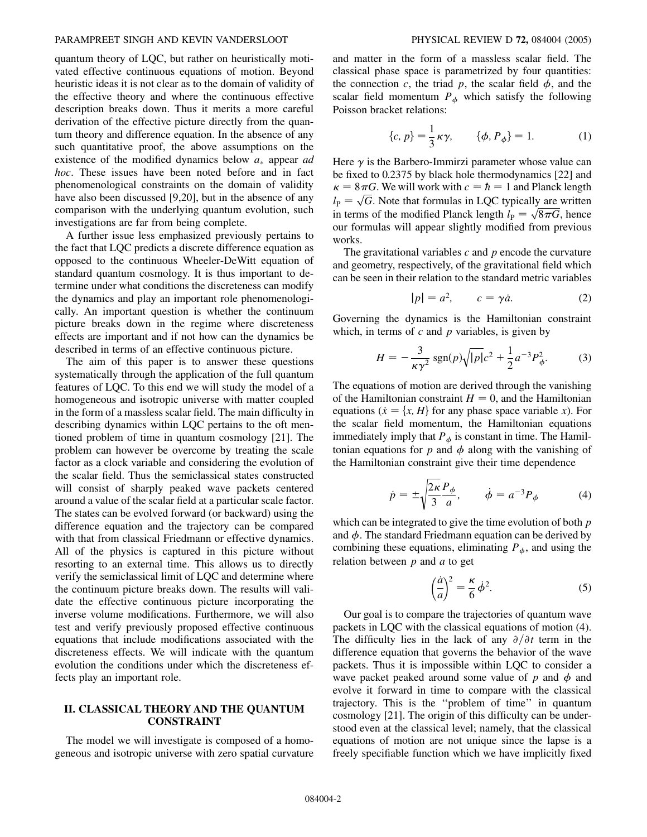#### PARAMPREET SINGH AND KEVIN VANDERSLOOT PHYSICAL REVIEW D **72,** 084004 (2005)

quantum theory of LQC, but rather on heuristically motivated effective continuous equations of motion. Beyond heuristic ideas it is not clear as to the domain of validity of the effective theory and where the continuous effective description breaks down. Thus it merits a more careful derivation of the effective picture directly from the quantum theory and difference equation. In the absence of any such quantitative proof, the above assumptions on the existence of the modified dynamics below  $a_*$  appear *ad hoc*. These issues have been noted before and in fact phenomenological constraints on the domain of validity have also been discussed [9,20], but in the absence of any comparison with the underlying quantum evolution, such investigations are far from being complete.

A further issue less emphasized previously pertains to the fact that LQC predicts a discrete difference equation as opposed to the continuous Wheeler-DeWitt equation of standard quantum cosmology. It is thus important to determine under what conditions the discreteness can modify the dynamics and play an important role phenomenologically. An important question is whether the continuum picture breaks down in the regime where discreteness effects are important and if not how can the dynamics be described in terms of an effective continuous picture.

The aim of this paper is to answer these questions systematically through the application of the full quantum features of LQC. To this end we will study the model of a homogeneous and isotropic universe with matter coupled in the form of a massless scalar field. The main difficulty in describing dynamics within LQC pertains to the oft mentioned problem of time in quantum cosmology [21]. The problem can however be overcome by treating the scale factor as a clock variable and considering the evolution of the scalar field. Thus the semiclassical states constructed will consist of sharply peaked wave packets centered around a value of the scalar field at a particular scale factor. The states can be evolved forward (or backward) using the difference equation and the trajectory can be compared with that from classical Friedmann or effective dynamics. All of the physics is captured in this picture without resorting to an external time. This allows us to directly verify the semiclassical limit of LQC and determine where the continuum picture breaks down. The results will validate the effective continuous picture incorporating the inverse volume modifications. Furthermore, we will also test and verify previously proposed effective continuous equations that include modifications associated with the discreteness effects. We will indicate with the quantum evolution the conditions under which the discreteness effects play an important role.

# **II. CLASSICAL THEORY AND THE QUANTUM CONSTRAINT**

The model we will investigate is composed of a homogeneous and isotropic universe with zero spatial curvature and matter in the form of a massless scalar field. The classical phase space is parametrized by four quantities: the connection  $c$ , the triad  $p$ , the scalar field  $\phi$ , and the scalar field momentum  $P_{\phi}$  which satisfy the following Poisson bracket relations:

$$
\{c, p\} = \frac{1}{3}\kappa \gamma, \qquad \{\phi, P_{\phi}\} = 1. \tag{1}
$$

Here  $\gamma$  is the Barbero-Immirzi parameter whose value can be fixed to 0.2375 by black hole thermodynamics [22] and  $\kappa = 8\pi G$ . We will work with  $c = \hbar = 1$  and Planck length  $k = 8\pi G$ . We will work with  $c = h = 1$  and Planck length  $l_p = \sqrt{G}$ . Note that formulas in LQC typically are written  $i_P = \sqrt{G}$ . Note that formulas in EQC typically are written<br>in terms of the modified Planck length  $l_P = \sqrt{8\pi G}$ , hence our formulas will appear slightly modified from previous works.

The gravitational variables *c* and *p* encode the curvature and geometry, respectively, of the gravitational field which can be seen in their relation to the standard metric variables

$$
|p| = a^2, \qquad c = \gamma \dot{a}.\tag{2}
$$

Governing the dynamics is the Hamiltonian constraint which, in terms of *c* and *p* variables, is given by

$$
H = -\frac{3}{\kappa \gamma^2} \operatorname{sgn}(p) \sqrt{|p|} c^2 + \frac{1}{2} a^{-3} P_{\phi}^2.
$$
 (3)

The equations of motion are derived through the vanishing of the Hamiltonian constraint  $H = 0$ , and the Hamiltonian equations ( $\dot{x} = \{x, H\}$  for any phase space variable *x*). For the scalar field momentum, the Hamiltonian equations immediately imply that  $P_{\phi}$  is constant in time. The Hamiltonian equations for  $p$  and  $\phi$  along with the vanishing of the Hamiltonian constraint give their time dependence

$$
\dot{p} = \pm \sqrt{\frac{2\kappa}{3} \frac{P_{\phi}}{a}}, \qquad \dot{\phi} = a^{-3} P_{\phi}
$$
 (4)

which can be integrated to give the time evolution of both *p* and  $\phi$ . The standard Friedmann equation can be derived by combining these equations, eliminating  $P_{\phi}$ , and using the relation between *p* and *a* to get

$$
\left(\frac{\dot{a}}{a}\right)^2 = \frac{\kappa}{6} \dot{\phi}^2.
$$
 (5)

Our goal is to compare the trajectories of quantum wave packets in LQC with the classical equations of motion (4). The difficulty lies in the lack of any  $\partial/\partial t$  term in the difference equation that governs the behavior of the wave packets. Thus it is impossible within LQC to consider a wave packet peaked around some value of  $p$  and  $\phi$  and evolve it forward in time to compare with the classical trajectory. This is the ''problem of time'' in quantum cosmology [21]. The origin of this difficulty can be understood even at the classical level; namely, that the classical equations of motion are not unique since the lapse is a freely specifiable function which we have implicitly fixed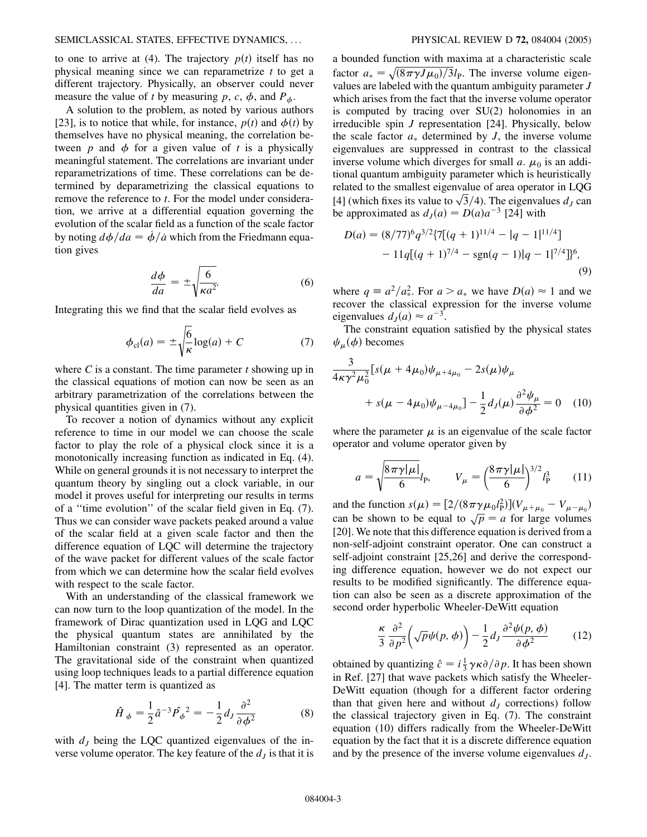to one to arrive at (4). The trajectory  $p(t)$  itself has no physical meaning since we can reparametrize *t* to get a different trajectory. Physically, an observer could never measure the value of *t* by measuring *p*, *c*,  $\phi$ , and  $P_{\phi}$ .

A solution to the problem, as noted by various authors [23], is to notice that while, for instance,  $p(t)$  and  $\phi(t)$  by themselves have no physical meaning, the correlation between  $p$  and  $\phi$  for a given value of  $t$  is a physically meaningful statement. The correlations are invariant under reparametrizations of time. These correlations can be determined by deparametrizing the classical equations to remove the reference to *t*. For the model under consideration, we arrive at a differential equation governing the evolution of the scalar field as a function of the scale factor by noting  $d\phi/da = \dot{\phi}/\dot{a}$  which from the Friedmann equation gives

$$
\frac{d\phi}{da} = \pm \sqrt{\frac{6}{\kappa a^2}}.
$$
 (6)

Integrating this we find that the scalar field evolves as

$$
\phi_{\text{cl}}(a) = \pm \sqrt{\frac{6}{\kappa}} \log(a) + C \tag{7}
$$

where *C* is a constant. The time parameter *t* showing up in the classical equations of motion can now be seen as an arbitrary parametrization of the correlations between the physical quantities given in (7).

To recover a notion of dynamics without any explicit reference to time in our model we can choose the scale factor to play the role of a physical clock since it is a monotonically increasing function as indicated in Eq. (4). While on general grounds it is not necessary to interpret the quantum theory by singling out a clock variable, in our model it proves useful for interpreting our results in terms of a ''time evolution'' of the scalar field given in Eq. (7). Thus we can consider wave packets peaked around a value of the scalar field at a given scale factor and then the difference equation of LQC will determine the trajectory of the wave packet for different values of the scale factor from which we can determine how the scalar field evolves with respect to the scale factor.

With an understanding of the classical framework we can now turn to the loop quantization of the model. In the framework of Dirac quantization used in LQG and LQC the physical quantum states are annihilated by the Hamiltonian constraint (3) represented as an operator. The gravitational side of the constraint when quantized using loop techniques leads to a partial difference equation [4]. The matter term is quantized as

$$
\hat{H}_{\phi} = \frac{1}{2} \hat{a}^{-3} \hat{P_{\phi}}^2 = -\frac{1}{2} d_J \frac{\partial^2}{\partial \phi^2}
$$
 (8)

with  $d_J$  being the LQC quantized eigenvalues of the inverse volume operator. The key feature of the  $d<sub>J</sub>$  is that it is

a bounded function with maxima at a characteristic scale factor  $a_* = \sqrt{(8\pi \gamma J \mu_0)/3}l_P$ . The inverse volume eigenvalues are labeled with the quantum ambiguity parameter *J* which arises from the fact that the inverse volume operator is computed by tracing over SU(2) holonomies in an irreducible spin *J* representation [24]. Physically, below the scale factor  $a_*$  determined by  $J$ , the inverse volume eigenvalues are suppressed in contrast to the classical inverse volume which diverges for small  $a$ .  $\mu_0$  is an additional quantum ambiguity parameter which is heuristically related to the smallest eigenvalue of area operator in LQG related to the smallest eigenvalue of area operator in EQG<br>[4] (which fixes its value to  $\sqrt{3}/4$ ). The eigenvalues  $d<sub>J</sub>$  can be approximated as  $d_J(a) = D(a)a^{-3}$  [24] with

$$
D(a) = (8/77)^6 q^{3/2} \{ 7[(q+1)^{11/4} - |q-1|^{11/4}] - 11q[(q+1)^{7/4} - \text{sgn}(q-1)|q-1|^{7/4}] \}^6,
$$
\n(9)

where  $q \equiv a^2/a_*^2$ . For  $a > a_*$  we have  $D(a) \approx 1$  and we recover the classical expression for the inverse volume eigenvalues  $d_I(a) \approx a^{-3}$ .

The constraint equation satisfied by the physical states  $\psi_{\mu}(\phi)$  becomes

$$
\frac{3}{4\kappa\gamma^{2}\mu_{0}^{2}}[s(\mu + 4\mu_{0})\psi_{\mu+4\mu_{0}} - 2s(\mu)\psi_{\mu} + s(\mu - 4\mu_{0})\psi_{\mu-4\mu_{0}}] - \frac{1}{2}d_{J}(\mu)\frac{\partial^{2}\psi_{\mu}}{\partial\phi^{2}} = 0 \quad (10)
$$

where the parameter  $\mu$  is an eigenvalue of the scale factor operator and volume operator given by

$$
a = \sqrt{\frac{8\pi\gamma|\mu|}{6}}l_{\rm P}, \qquad V_{\mu} = \left(\frac{8\pi\gamma|\mu|}{6}\right)^{3/2}l_{\rm P}^{3} \qquad (11)
$$

and the function  $s(\mu) = [2/(8\pi \gamma \mu_0 l_{\rm P}^2)](V_{\mu + \mu_0} - V_{\mu - \mu_0})$ can be shown to be equal to  $\sqrt{p} = a$  for large volumes [20]. We note that this difference equation is derived from a non-self-adjoint constraint operator. One can construct a self-adjoint constraint [25,26] and derive the corresponding difference equation, however we do not expect our results to be modified significantly. The difference equation can also be seen as a discrete approximation of the second order hyperbolic Wheeler-DeWitt equation

$$
\frac{\kappa}{3} \frac{\partial^2}{\partial p^2} \left( \sqrt{p} \psi(p, \phi) \right) - \frac{1}{2} d_J \frac{\partial^2 \psi(p, \phi)}{\partial \phi^2}
$$
 (12)

obtained by quantizing  $\hat{c} = i \frac{1}{3} \gamma \kappa \partial / \partial p$ . It has been shown in Ref. [27] that wave packets which satisfy the Wheeler-DeWitt equation (though for a different factor ordering than that given here and without  $d_J$  corrections) follow the classical trajectory given in Eq. (7). The constraint equation (10) differs radically from the Wheeler-DeWitt equation by the fact that it is a discrete difference equation and by the presence of the inverse volume eigenvalues *dJ*.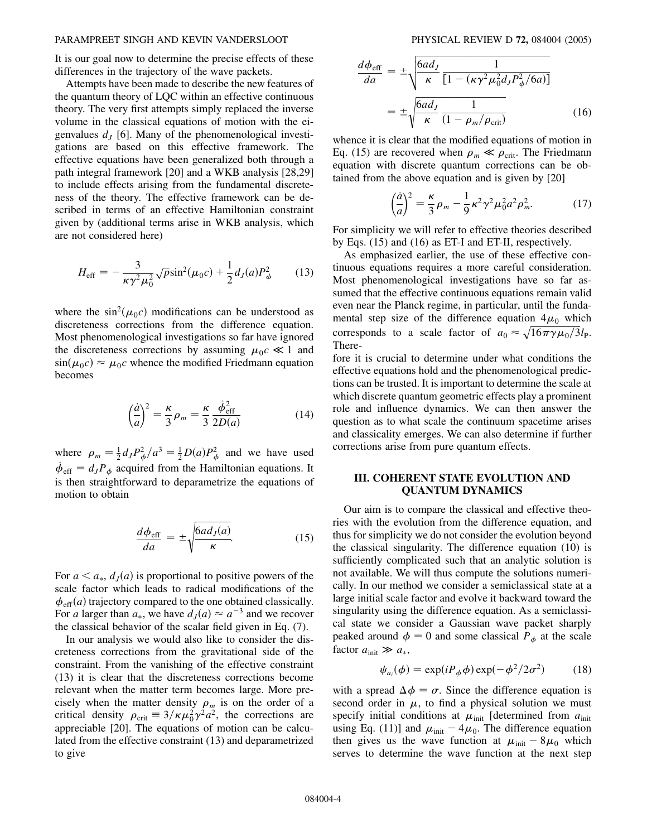It is our goal now to determine the precise effects of these differences in the trajectory of the wave packets.

Attempts have been made to describe the new features of the quantum theory of LQC within an effective continuous theory. The very first attempts simply replaced the inverse volume in the classical equations of motion with the eigenvalues  $d<sub>I</sub>$  [6]. Many of the phenomenological investigations are based on this effective framework. The effective equations have been generalized both through a path integral framework [20] and a WKB analysis [28,29] to include effects arising from the fundamental discreteness of the theory. The effective framework can be described in terms of an effective Hamiltonian constraint given by (additional terms arise in WKB analysis, which are not considered here)

$$
H_{\text{eff}} = -\frac{3}{\kappa \gamma^2 \mu_0^2} \sqrt{p} \sin^2(\mu_0 c) + \frac{1}{2} d_J(a) P_\phi^2 \tag{13}
$$

where the  $\sin^2(\mu_0 c)$  modifications can be understood as discreteness corrections from the difference equation. Most phenomenological investigations so far have ignored the discreteness corrections by assuming  $\mu_0 c \ll 1$  and  $\sin(\mu_0 c) \approx \mu_0 c$  whence the modified Friedmann equation becomes

$$
\left(\frac{\dot{a}}{a}\right)^2 = \frac{\kappa}{3}\rho_m = \frac{\kappa}{3}\frac{\dot{\phi}_{\text{eff}}^2}{2D(a)}
$$
(14)

where  $\rho_m = \frac{1}{2} d_J P_\phi^2 / a^3 = \frac{1}{2} D(a) P_\phi^2$  and we have used  $\dot{\phi}_{\text{eff}} = d_J P_{\phi}$  acquired from the Hamiltonian equations. It is then straightforward to deparametrize the equations of motion to obtain

$$
\frac{d\phi_{\text{eff}}}{da} = \pm \sqrt{\frac{6ad_J(a)}{\kappa}}.
$$
 (15)

For  $a < a_*$ ,  $d<sub>I</sub>(a)$  is proportional to positive powers of the scale factor which leads to radical modifications of the  $\phi_{\text{eff}}(a)$  trajectory compared to the one obtained classically. For *a* larger than  $a_*$ , we have  $d_I(a) \approx a^{-3}$  and we recover the classical behavior of the scalar field given in Eq. (7).

In our analysis we would also like to consider the discreteness corrections from the gravitational side of the constraint. From the vanishing of the effective constraint (13) it is clear that the discreteness corrections become relevant when the matter term becomes large. More precisely when the matter density  $\rho_m$  is on the order of a critical density  $\rho_{\rm crit} = 3/\kappa \mu_0^2 \gamma^2 a^2$ , the corrections are appreciable [20]. The equations of motion can be calculated from the effective constraint (13) and deparametrized to give

$$
\frac{d\phi_{\text{eff}}}{da} = \pm \sqrt{\frac{6ad_J}{\kappa} \frac{1}{\left[1 - (\kappa \gamma^2 \mu_0^2 d_J P_\phi^2 / 6a)\right]}}
$$

$$
= \pm \sqrt{\frac{6ad_J}{\kappa} \frac{1}{(1 - \rho_m / \rho_{\text{crit}})}}
$$
(16)

whence it is clear that the modified equations of motion in Eq. (15) are recovered when  $\rho_m \ll \rho_{\rm crit}$ . The Friedmann equation with discrete quantum corrections can be obtained from the above equation and is given by [20]

$$
\left(\frac{\dot{a}}{a}\right)^2 = \frac{\kappa}{3}\rho_m - \frac{1}{9}\kappa^2\gamma^2\mu_0^2 a^2 \rho_m^2.
$$
 (17)

For simplicity we will refer to effective theories described by Eqs. (15) and (16) as ET-I and ET-II, respectively.

As emphasized earlier, the use of these effective continuous equations requires a more careful consideration. Most phenomenological investigations have so far assumed that the effective continuous equations remain valid even near the Planck regime, in particular, until the fundamental step size of the difference equation  $4\mu_0$  which corresponds to a scale factor of  $a_0 \approx \sqrt{16\pi \gamma \mu_0/3} l_P$ . There-

fore it is crucial to determine under what conditions the effective equations hold and the phenomenological predictions can be trusted. It is important to determine the scale at which discrete quantum geometric effects play a prominent role and influence dynamics. We can then answer the question as to what scale the continuum spacetime arises and classicality emerges. We can also determine if further corrections arise from pure quantum effects.

# **III. COHERENT STATE EVOLUTION AND QUANTUM DYNAMICS**

Our aim is to compare the classical and effective theories with the evolution from the difference equation, and thus for simplicity we do not consider the evolution beyond the classical singularity. The difference equation (10) is sufficiently complicated such that an analytic solution is not available. We will thus compute the solutions numerically. In our method we consider a semiclassical state at a large initial scale factor and evolve it backward toward the singularity using the difference equation. As a semiclassical state we consider a Gaussian wave packet sharply peaked around  $\phi = 0$  and some classical  $P_{\phi}$  at the scale factor  $a_{\text{init}} \gg a_*$ ,

$$
\psi_{a_i}(\phi) = \exp(iP_\phi \phi) \exp(-\phi^2/2\sigma^2) \tag{18}
$$

with a spread  $\Delta \phi = \sigma$ . Since the difference equation is second order in  $\mu$ , to find a physical solution we must specify initial conditions at  $\mu_{\text{init}}$  [determined from  $a_{\text{init}}$ using Eq. (11)] and  $\mu_{\text{init}} - 4\mu_0$ . The difference equation then gives us the wave function at  $\mu_{init} - 8\mu_0$  which serves to determine the wave function at the next step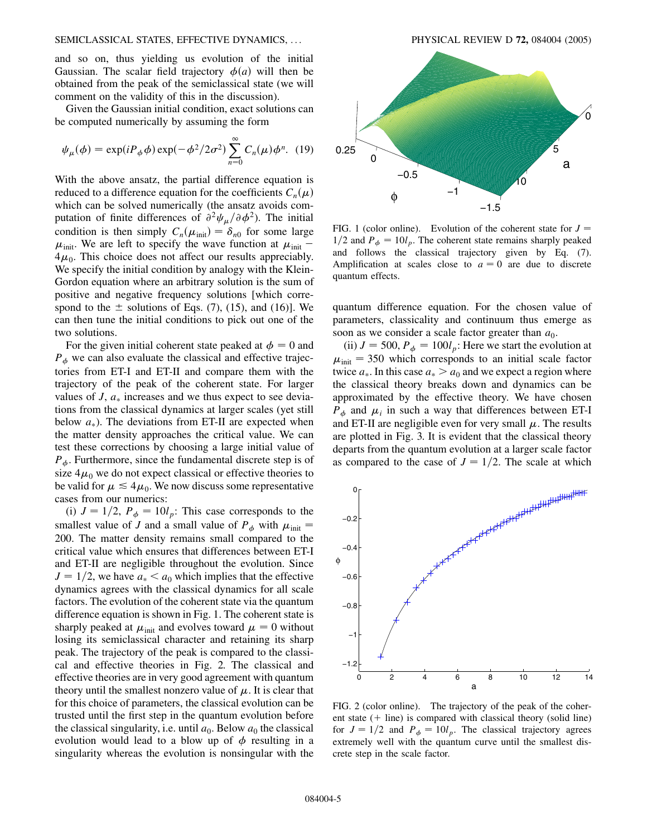#### SEMICLASSICAL STATES, EFFECTIVE DYNAMICS, ... PHYSICAL REVIEW D **72,** 084004 (2005)

and so on, thus yielding us evolution of the initial Gaussian. The scalar field trajectory  $\phi(a)$  will then be obtained from the peak of the semiclassical state (we will comment on the validity of this in the discussion).

Given the Gaussian initial condition, exact solutions can be computed numerically by assuming the form

$$
\psi_{\mu}(\phi) = \exp(iP_{\phi}\phi)\exp(-\phi^2/2\sigma^2)\sum_{n=0}^{\infty} C_n(\mu)\phi^n. (19)
$$

With the above ansatz, the partial difference equation is reduced to a difference equation for the coefficients  $C_n(\mu)$ which can be solved numerically (the ansatz avoids computation of finite differences of  $\partial^2 \psi_\mu / \partial \phi^2$ . The initial condition is then simply  $C_n(\mu_{\text{init}}) = \delta_{n0}$  for some large  $\mu_{\text{init}}$ . We are left to specify the wave function at  $\mu_{\text{init}}$  - $4\mu_0$ . This choice does not affect our results appreciably. We specify the initial condition by analogy with the Klein-Gordon equation where an arbitrary solution is the sum of positive and negative frequency solutions [which correspond to the  $\pm$  solutions of Eqs. (7), (15), and (16)]. We can then tune the initial conditions to pick out one of the two solutions.

For the given initial coherent state peaked at  $\phi = 0$  and  $P_{\phi}$  we can also evaluate the classical and effective trajectories from ET-I and ET-II and compare them with the trajectory of the peak of the coherent state. For larger values of  $J$ ,  $a_*$  increases and we thus expect to see deviations from the classical dynamics at larger scales (yet still below  $a_{\ast}$ ). The deviations from ET-II are expected when the matter density approaches the critical value. We can test these corrections by choosing a large initial value of *P*. Furthermore, since the fundamental discrete step is of size  $4\mu_0$  we do not expect classical or effective theories to be valid for  $\mu \leq 4\mu_0$ . We now discuss some representative cases from our numerics:

(i)  $J = 1/2$ ,  $P_{\phi} = 10l_p$ : This case corresponds to the smallest value of *J* and a small value of  $P_{\phi}$  with  $\mu_{\text{init}} =$ 200. The matter density remains small compared to the critical value which ensures that differences between ET-I and ET-II are negligible throughout the evolution. Since  $J = 1/2$ , we have  $a_* < a_0$  which implies that the effective dynamics agrees with the classical dynamics for all scale factors. The evolution of the coherent state via the quantum difference equation is shown in Fig. 1. The coherent state is sharply peaked at  $\mu_{init}$  and evolves toward  $\mu = 0$  without losing its semiclassical character and retaining its sharp peak. The trajectory of the peak is compared to the classical and effective theories in Fig. 2. The classical and effective theories are in very good agreement with quantum theory until the smallest nonzero value of  $\mu$ . It is clear that for this choice of parameters, the classical evolution can be trusted until the first step in the quantum evolution before the classical singularity, i.e. until  $a_0$ . Below  $a_0$  the classical evolution would lead to a blow up of  $\phi$  resulting in a singularity whereas the evolution is nonsingular with the



FIG. 1 (color online). Evolution of the coherent state for  $J =$  $1/2$  and  $P_{\phi} = 10l_p$ . The coherent state remains sharply peaked and follows the classical trajectory given by Eq. (7). Amplification at scales close to  $a = 0$  are due to discrete quantum effects.

quantum difference equation. For the chosen value of parameters, classicality and continuum thus emerge as soon as we consider a scale factor greater than  $a_0$ .

(ii)  $J = 500$ ,  $P_{\phi} = 100 l_p$ : Here we start the evolution at  $\mu_{\text{init}} = 350$  which corresponds to an initial scale factor twice  $a_*$ . In this case  $a_* > a_0$  and we expect a region where the classical theory breaks down and dynamics can be approximated by the effective theory. We have chosen  $P_{\phi}$  and  $\mu_i$  in such a way that differences between ET-I and ET-II are negligible even for very small  $\mu$ . The results are plotted in Fig. 3. It is evident that the classical theory departs from the quantum evolution at a larger scale factor as compared to the case of  $J = 1/2$ . The scale at which



FIG. 2 (color online). The trajectory of the peak of the coherent state  $( +$  line) is compared with classical theory (solid line) for  $J = 1/2$  and  $P_{\phi} = 10l_p$ . The classical trajectory agrees extremely well with the quantum curve until the smallest discrete step in the scale factor.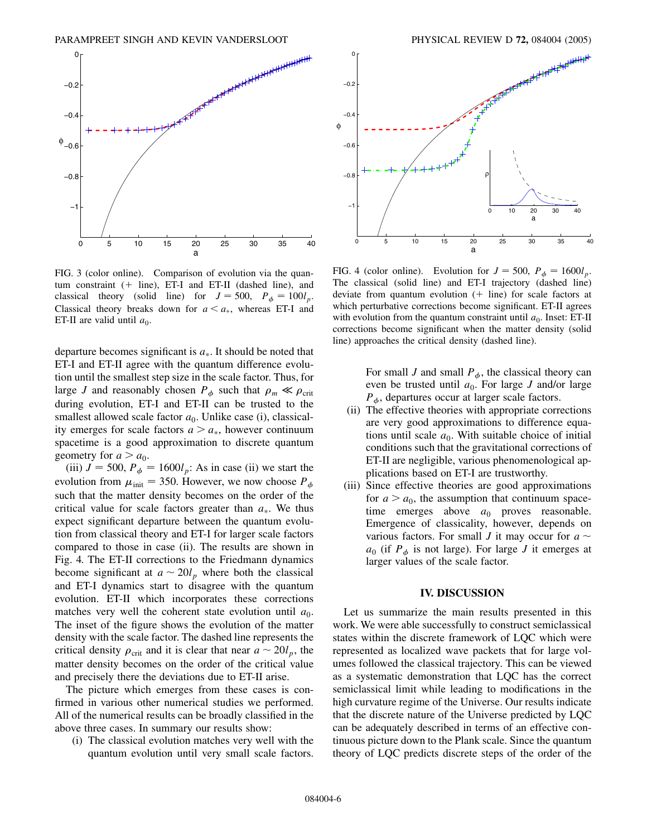

FIG. 3 (color online). Comparison of evolution via the quantum constraint  $( +$  line), ET-I and ET-II (dashed line), and classical theory (solid line) for  $J = 500$ ,  $P_{\phi} = 100 l_p$ . Classical theory breaks down for  $a < a_*$ , whereas ET-I and ET-II are valid until  $a_0$ .

departure becomes significant is  $a_{\ast}$ . It should be noted that ET-I and ET-II agree with the quantum difference evolution until the smallest step size in the scale factor. Thus, for large *J* and reasonably chosen  $P_{\phi}$  such that  $\rho_m \ll \rho_{\rm crit}$ during evolution, ET-I and ET-II can be trusted to the smallest allowed scale factor  $a_0$ . Unlike case (i), classicality emerges for scale factors  $a > a_*$ , however continuum spacetime is a good approximation to discrete quantum geometry for  $a > a_0$ .

(iii)  $J = 500$ ,  $P_{\phi} = 1600 l_{p}$ : As in case (ii) we start the evolution from  $\mu_{\text{init}} = 350$ . However, we now choose  $P_{\phi}$ such that the matter density becomes on the order of the critical value for scale factors greater than  $a_{\ast}$ . We thus expect significant departure between the quantum evolution from classical theory and ET-I for larger scale factors compared to those in case (ii). The results are shown in Fig. 4. The ET-II corrections to the Friedmann dynamics become significant at  $a \sim 20 l_p$  where both the classical and ET-I dynamics start to disagree with the quantum evolution. ET-II which incorporates these corrections matches very well the coherent state evolution until  $a_0$ . The inset of the figure shows the evolution of the matter density with the scale factor. The dashed line represents the critical density  $\rho_{\text{crit}}$  and it is clear that near  $a \sim 20 l_p$ , the matter density becomes on the order of the critical value and precisely there the deviations due to ET-II arise.

The picture which emerges from these cases is confirmed in various other numerical studies we performed. All of the numerical results can be broadly classified in the above three cases. In summary our results show:

(i) The classical evolution matches very well with the quantum evolution until very small scale factors.



FIG. 4 (color online). Evolution for  $J = 500$ ,  $P_{\phi} = 1600 l_p$ . The classical (solid line) and ET-I trajectory (dashed line) deviate from quantum evolution  $(+)$  line) for scale factors at which perturbative corrections become significant. ET-II agrees with evolution from the quantum constraint until  $a_0$ . Inset: ET-II corrections become significant when the matter density (solid line) approaches the critical density (dashed line).

For small *J* and small  $P_{\phi}$ , the classical theory can even be trusted until  $a_0$ . For large *J* and/or large *P*, departures occur at larger scale factors.

- (ii) The effective theories with appropriate corrections are very good approximations to difference equations until scale  $a_0$ . With suitable choice of initial conditions such that the gravitational corrections of ET-II are negligible, various phenomenological applications based on ET-I are trustworthy.
- (iii) Since effective theories are good approximations for  $a > a_0$ , the assumption that continuum spacetime emerges above  $a_0$  proves reasonable. Emergence of classicality, however, depends on various factors. For small *J* it may occur for  $a \sim$  $a_0$  (if  $P_{\phi}$  is not large). For large *J* it emerges at larger values of the scale factor.

### **IV. DISCUSSION**

Let us summarize the main results presented in this work. We were able successfully to construct semiclassical states within the discrete framework of LQC which were represented as localized wave packets that for large volumes followed the classical trajectory. This can be viewed as a systematic demonstration that LQC has the correct semiclassical limit while leading to modifications in the high curvature regime of the Universe. Our results indicate that the discrete nature of the Universe predicted by LQC can be adequately described in terms of an effective continuous picture down to the Plank scale. Since the quantum theory of LQC predicts discrete steps of the order of the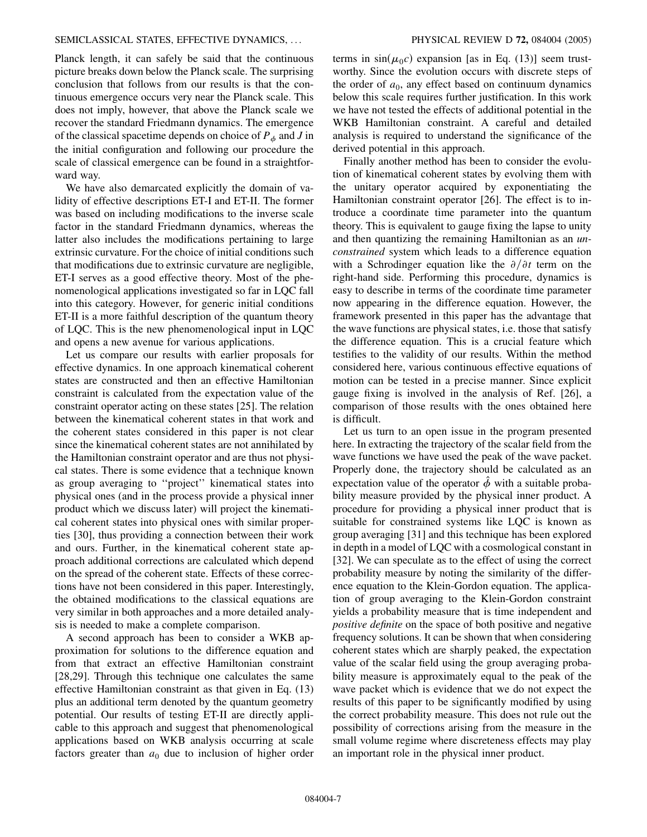## SEMICLASSICAL STATES, EFFECTIVE DYNAMICS, ... PHYSICAL REVIEW D **72,** 084004 (2005)

Planck length, it can safely be said that the continuous picture breaks down below the Planck scale. The surprising conclusion that follows from our results is that the continuous emergence occurs very near the Planck scale. This does not imply, however, that above the Planck scale we recover the standard Friedmann dynamics. The emergence of the classical spacetime depends on choice of  $P_{\phi}$  and *J* in the initial configuration and following our procedure the scale of classical emergence can be found in a straightforward way.

We have also demarcated explicitly the domain of validity of effective descriptions ET-I and ET-II. The former was based on including modifications to the inverse scale factor in the standard Friedmann dynamics, whereas the latter also includes the modifications pertaining to large extrinsic curvature. For the choice of initial conditions such that modifications due to extrinsic curvature are negligible, ET-I serves as a good effective theory. Most of the phenomenological applications investigated so far in LQC fall into this category. However, for generic initial conditions ET-II is a more faithful description of the quantum theory of LQC. This is the new phenomenological input in LQC and opens a new avenue for various applications.

Let us compare our results with earlier proposals for effective dynamics. In one approach kinematical coherent states are constructed and then an effective Hamiltonian constraint is calculated from the expectation value of the constraint operator acting on these states [25]. The relation between the kinematical coherent states in that work and the coherent states considered in this paper is not clear since the kinematical coherent states are not annihilated by the Hamiltonian constraint operator and are thus not physical states. There is some evidence that a technique known as group averaging to ''project'' kinematical states into physical ones (and in the process provide a physical inner product which we discuss later) will project the kinematical coherent states into physical ones with similar properties [30], thus providing a connection between their work and ours. Further, in the kinematical coherent state approach additional corrections are calculated which depend on the spread of the coherent state. Effects of these corrections have not been considered in this paper. Interestingly, the obtained modifications to the classical equations are very similar in both approaches and a more detailed analysis is needed to make a complete comparison.

A second approach has been to consider a WKB approximation for solutions to the difference equation and from that extract an effective Hamiltonian constraint [28,29]. Through this technique one calculates the same effective Hamiltonian constraint as that given in Eq. (13) plus an additional term denoted by the quantum geometry potential. Our results of testing ET-II are directly applicable to this approach and suggest that phenomenological applications based on WKB analysis occurring at scale factors greater than  $a_0$  due to inclusion of higher order terms in  $sin(\mu_0 c)$  expansion [as in Eq. (13)] seem trustworthy. Since the evolution occurs with discrete steps of the order of  $a_0$ , any effect based on continuum dynamics below this scale requires further justification. In this work we have not tested the effects of additional potential in the WKB Hamiltonian constraint. A careful and detailed analysis is required to understand the significance of the derived potential in this approach.

Finally another method has been to consider the evolution of kinematical coherent states by evolving them with the unitary operator acquired by exponentiating the Hamiltonian constraint operator [26]. The effect is to introduce a coordinate time parameter into the quantum theory. This is equivalent to gauge fixing the lapse to unity and then quantizing the remaining Hamiltonian as an *unconstrained* system which leads to a difference equation with a Schrodinger equation like the  $\partial/\partial t$  term on the right-hand side. Performing this procedure, dynamics is easy to describe in terms of the coordinate time parameter now appearing in the difference equation. However, the framework presented in this paper has the advantage that the wave functions are physical states, i.e. those that satisfy the difference equation. This is a crucial feature which testifies to the validity of our results. Within the method considered here, various continuous effective equations of motion can be tested in a precise manner. Since explicit gauge fixing is involved in the analysis of Ref. [26], a comparison of those results with the ones obtained here is difficult.

Let us turn to an open issue in the program presented here. In extracting the trajectory of the scalar field from the wave functions we have used the peak of the wave packet. Properly done, the trajectory should be calculated as an expectation value of the operator  $\hat{\phi}$  with a suitable probability measure provided by the physical inner product. A procedure for providing a physical inner product that is suitable for constrained systems like LQC is known as group averaging [31] and this technique has been explored in depth in a model of LQC with a cosmological constant in [32]. We can speculate as to the effect of using the correct probability measure by noting the similarity of the difference equation to the Klein-Gordon equation. The application of group averaging to the Klein-Gordon constraint yields a probability measure that is time independent and *positive definite* on the space of both positive and negative frequency solutions. It can be shown that when considering coherent states which are sharply peaked, the expectation value of the scalar field using the group averaging probability measure is approximately equal to the peak of the wave packet which is evidence that we do not expect the results of this paper to be significantly modified by using the correct probability measure. This does not rule out the possibility of corrections arising from the measure in the small volume regime where discreteness effects may play an important role in the physical inner product.